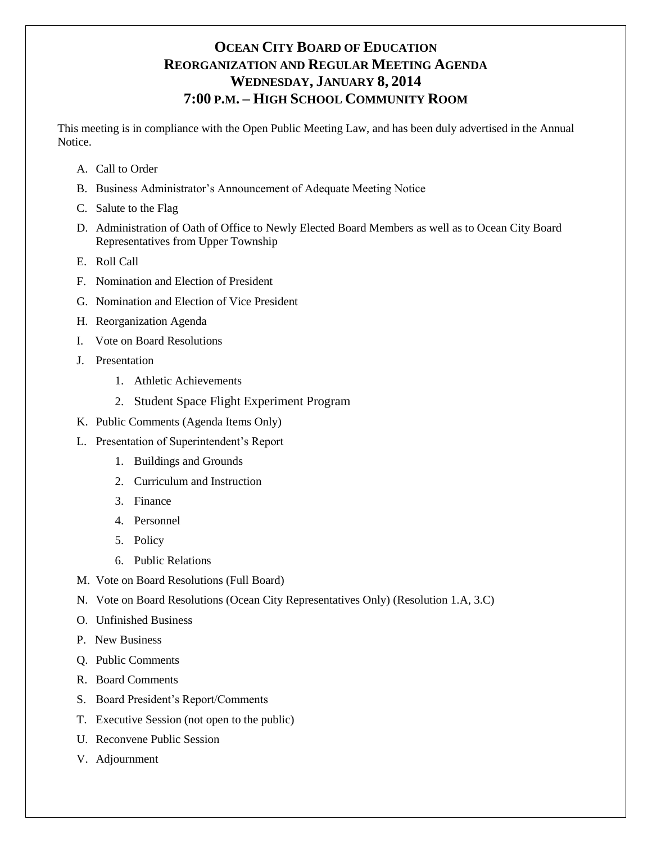# **OCEAN CITY BOARD OF EDUCATION REORGANIZATION AND REGULAR MEETING AGENDA WEDNESDAY, JANUARY 8, 2014 7:00 P.M. – HIGH SCHOOL COMMUNITY ROOM**

This meeting is in compliance with the Open Public Meeting Law, and has been duly advertised in the Annual Notice.

- A. Call to Order
- B. Business Administrator's Announcement of Adequate Meeting Notice
- C. Salute to the Flag
- D. Administration of Oath of Office to Newly Elected Board Members as well as to Ocean City Board Representatives from Upper Township
- E. Roll Call
- F. Nomination and Election of President
- G. Nomination and Election of Vice President
- H. Reorganization Agenda
- I. Vote on Board Resolutions
- J. Presentation
	- 1. Athletic Achievements
	- 2. Student Space Flight Experiment Program
- K. Public Comments (Agenda Items Only)
- L. Presentation of Superintendent's Report
	- 1. Buildings and Grounds
	- 2. Curriculum and Instruction
	- 3. Finance
	- 4. Personnel
	- 5. Policy
	- 6. Public Relations
- M. Vote on Board Resolutions (Full Board)
- N. Vote on Board Resolutions (Ocean City Representatives Only) (Resolution 1.A, 3.C)
- O. Unfinished Business
- P. New Business
- Q. Public Comments
- R. Board Comments
- S. Board President's Report/Comments
- T. Executive Session (not open to the public)
- U. Reconvene Public Session
- V. Adjournment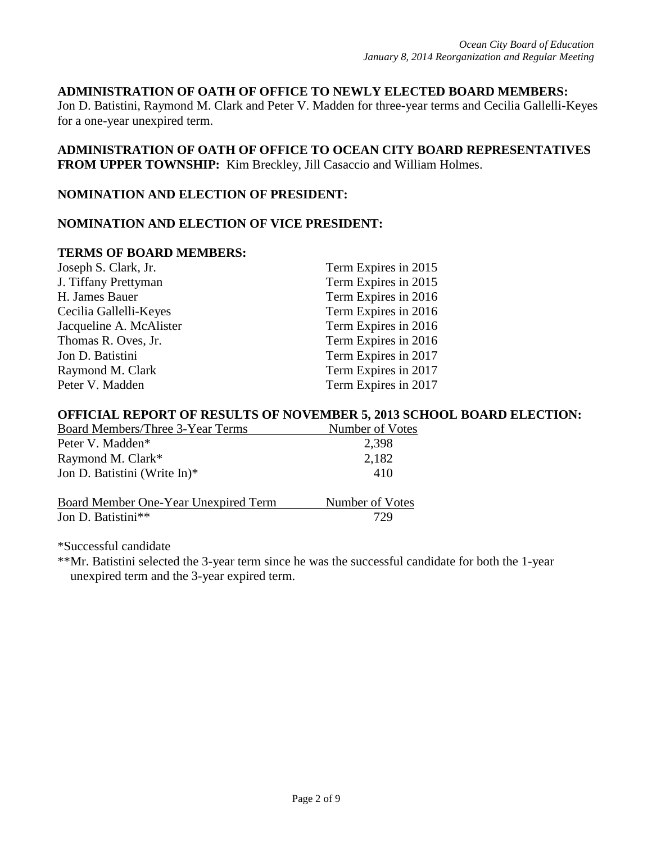#### **ADMINISTRATION OF OATH OF OFFICE TO NEWLY ELECTED BOARD MEMBERS:**

Jon D. Batistini, Raymond M. Clark and Peter V. Madden for three-year terms and Cecilia Gallelli-Keyes for a one-year unexpired term.

# **ADMINISTRATION OF OATH OF OFFICE TO OCEAN CITY BOARD REPRESENTATIVES FROM UPPER TOWNSHIP:** Kim Breckley, Jill Casaccio and William Holmes.

#### **NOMINATION AND ELECTION OF PRESIDENT:**

#### **NOMINATION AND ELECTION OF VICE PRESIDENT:**

### **TERMS OF BOARD MEMBERS:**

| Joseph S. Clark, Jr.    | Term Expires in 2015 |
|-------------------------|----------------------|
| J. Tiffany Prettyman    | Term Expires in 2015 |
| H. James Bauer          | Term Expires in 2016 |
| Cecilia Gallelli-Keyes  | Term Expires in 2016 |
| Jacqueline A. McAlister | Term Expires in 2016 |
| Thomas R. Oves, Jr.     | Term Expires in 2016 |
| Jon D. Batistini        | Term Expires in 2017 |
| Raymond M. Clark        | Term Expires in 2017 |
| Peter V. Madden         | Term Expires in 2017 |

#### **OFFICIAL REPORT OF RESULTS OF NOVEMBER 5, 2013 SCHOOL BOARD ELECTION:**

| Board Members/Three 3-Year Terms     | Number of Votes |
|--------------------------------------|-----------------|
| Peter V. Madden <sup>*</sup>         | 2,398           |
| Raymond M. Clark*                    | 2,182           |
| Jon D. Batistini (Write In)*         | 410             |
| Board Member One-Year Unexpired Term | Number of Votes |
| Jon D. Batistini**                   | 729             |

\*Successful candidate

\*\*Mr. Batistini selected the 3-year term since he was the successful candidate for both the 1-year unexpired term and the 3-year expired term.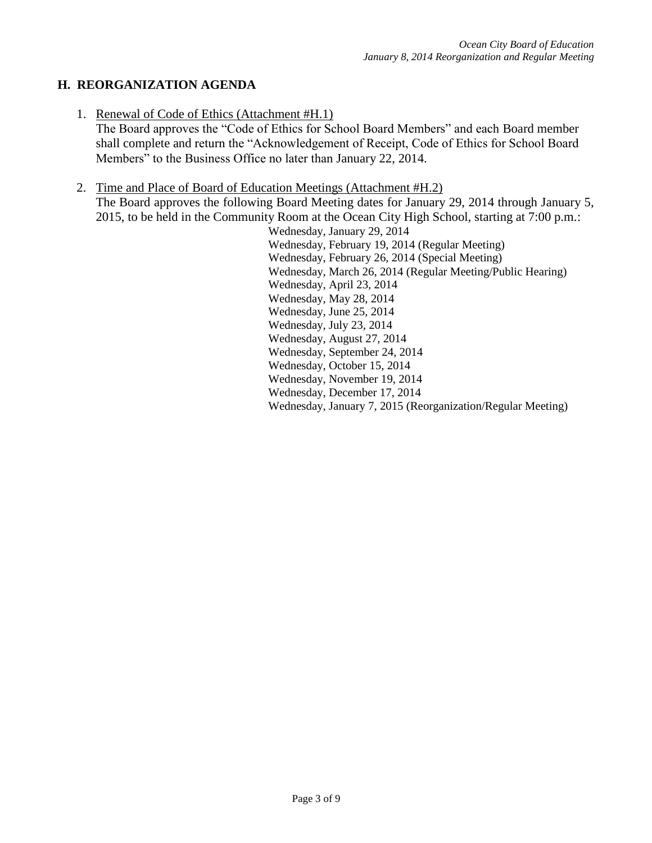# **H. REORGANIZATION AGENDA**

1. Renewal of Code of Ethics (Attachment #H.1)

The Board approves the "Code of Ethics for School Board Members" and each Board member shall complete and return the "Acknowledgement of Receipt, Code of Ethics for School Board Members" to the Business Office no later than January 22, 2014.

- 2. Time and Place of Board of Education Meetings (Attachment #H.2)
	- The Board approves the following Board Meeting dates for January 29, 2014 through January 5, 2015, to be held in the Community Room at the Ocean City High School, starting at 7:00 p.m.:

Wednesday, January 29, 2014 Wednesday, February 19, 2014 (Regular Meeting) Wednesday, February 26, 2014 (Special Meeting) Wednesday, March 26, 2014 (Regular Meeting/Public Hearing) Wednesday, April 23, 2014 Wednesday, May 28, 2014 Wednesday, June 25, 2014 Wednesday, July 23, 2014 Wednesday, August 27, 2014 Wednesday, September 24, 2014 Wednesday, October 15, 2014 Wednesday, November 19, 2014 Wednesday, December 17, 2014 Wednesday, January 7, 2015 (Reorganization/Regular Meeting)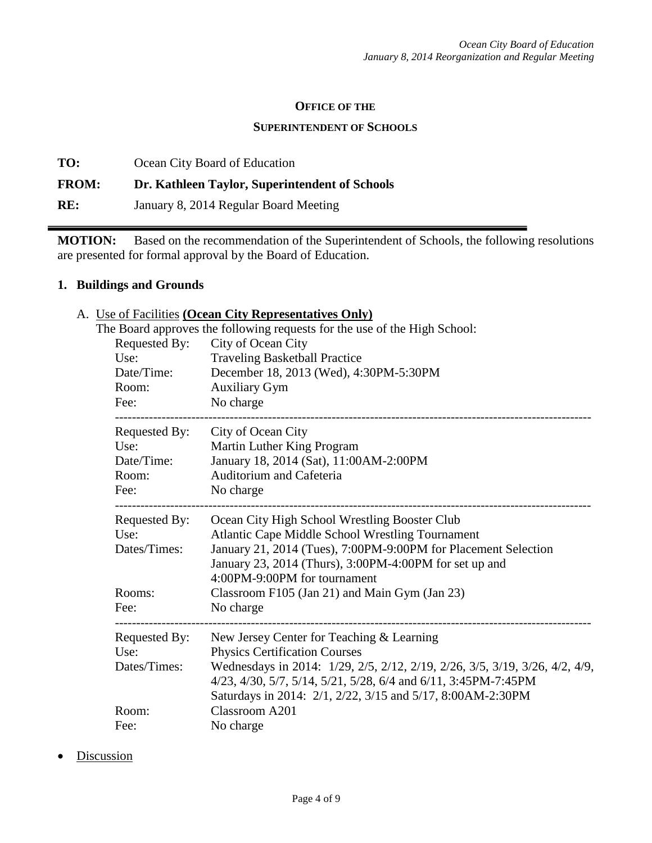#### **OFFICE OF THE**

#### **SUPERINTENDENT OF SCHOOLS**

**TO:** Ocean City Board of Education **FROM: Dr. Kathleen Taylor, Superintendent of Schools RE:** January 8, 2014 Regular Board Meeting

**MOTION:** Based on the recommendation of the Superintendent of Schools, the following resolutions are presented for formal approval by the Board of Education.

## **1. Buildings and Grounds**

## A. Use of Facilities **(Ocean City Representatives Only)**

|                       | The Board approves the following requests for the use of the High School:                                                                                                                                   |  |
|-----------------------|-------------------------------------------------------------------------------------------------------------------------------------------------------------------------------------------------------------|--|
| Requested By:         | City of Ocean City                                                                                                                                                                                          |  |
| Use:                  | <b>Traveling Basketball Practice</b>                                                                                                                                                                        |  |
| Date/Time:            | December 18, 2013 (Wed), 4:30PM-5:30PM                                                                                                                                                                      |  |
| Room:                 | <b>Auxiliary Gym</b>                                                                                                                                                                                        |  |
| Fee:                  | No charge                                                                                                                                                                                                   |  |
| Requested By:         | City of Ocean City                                                                                                                                                                                          |  |
| Use:                  | Martin Luther King Program                                                                                                                                                                                  |  |
| Date/Time:            | January 18, 2014 (Sat), 11:00AM-2:00PM                                                                                                                                                                      |  |
| Room:                 | Auditorium and Cafeteria                                                                                                                                                                                    |  |
| Fee:                  | No charge                                                                                                                                                                                                   |  |
| Requested By:<br>Use: | Ocean City High School Wrestling Booster Club<br><b>Atlantic Cape Middle School Wrestling Tournament</b>                                                                                                    |  |
| Dates/Times:          | January 21, 2014 (Tues), 7:00PM-9:00PM for Placement Selection                                                                                                                                              |  |
|                       | January 23, 2014 (Thurs), 3:00PM-4:00PM for set up and                                                                                                                                                      |  |
|                       | 4:00PM-9:00PM for tournament                                                                                                                                                                                |  |
| Rooms:                | Classroom F105 (Jan 21) and Main Gym (Jan 23)                                                                                                                                                               |  |
| Fee:                  | No charge                                                                                                                                                                                                   |  |
| Requested By:         | New Jersey Center for Teaching & Learning                                                                                                                                                                   |  |
| Use:                  | <b>Physics Certification Courses</b>                                                                                                                                                                        |  |
| Dates/Times:          | Wednesdays in 2014: 1/29, 2/5, 2/12, 2/19, 2/26, 3/5, 3/19, 3/26, 4/2, 4/9,<br>4/23, 4/30, 5/7, 5/14, 5/21, 5/28, 6/4 and 6/11, 3:45PM-7:45PM<br>Saturdays in 2014: 2/1, 2/22, 3/15 and 5/17, 8:00AM-2:30PM |  |
| Room:                 | Classroom A201                                                                                                                                                                                              |  |
| Fee:                  | No charge                                                                                                                                                                                                   |  |
|                       |                                                                                                                                                                                                             |  |

**Discussion**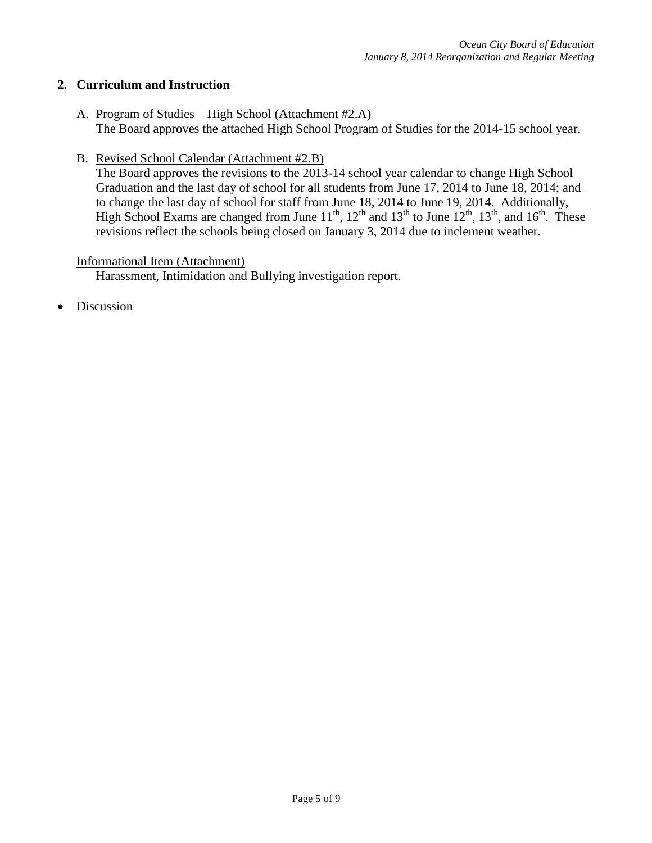## **2. Curriculum and Instruction**

- A. Program of Studies High School (Attachment #2.A) The Board approves the attached High School Program of Studies for the 2014-15 school year.
- B. Revised School Calendar (Attachment #2.B)

The Board approves the revisions to the 2013-14 school year calendar to change High School Graduation and the last day of school for all students from June 17, 2014 to June 18, 2014; and to change the last day of school for staff from June 18, 2014 to June 19, 2014. Additionally, High School Exams are changed from June  $11^{th}$ ,  $12^{th}$  and  $13^{th}$  to June  $12^{th}$ ,  $13^{th}$ , and  $16^{th}$ . These revisions reflect the schools being closed on January 3, 2014 due to inclement weather.

#### Informational Item (Attachment)

Harassment, Intimidation and Bullying investigation report.

Discussion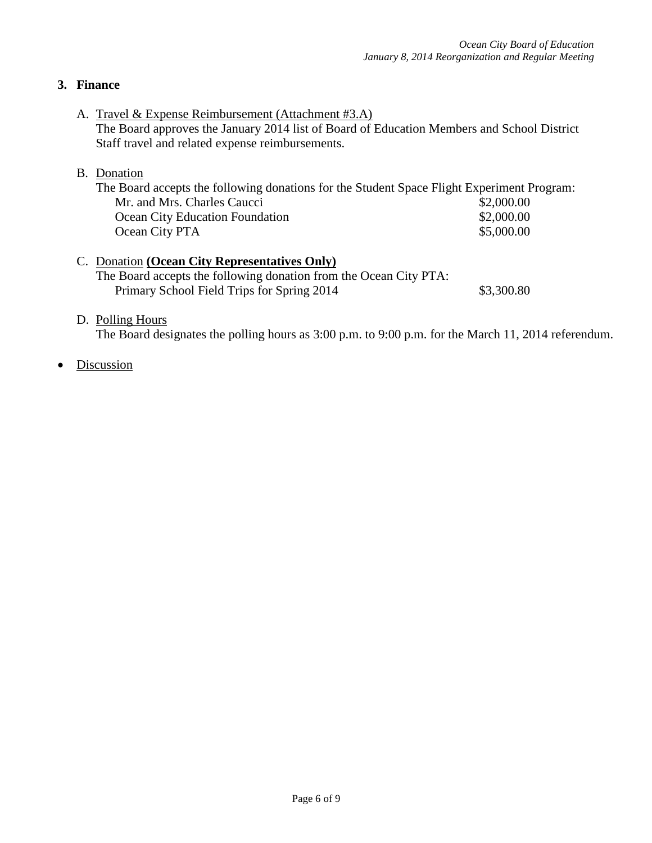# **3. Finance**

A. Travel & Expense Reimbursement (Attachment #3.A) The Board approves the January 2014 list of Board of Education Members and School District Staff travel and related expense reimbursements.

## B. Donation

| The Board accepts the following donations for the Student Space Flight Experiment Program: |            |
|--------------------------------------------------------------------------------------------|------------|
| Mr. and Mrs. Charles Caucci                                                                | \$2,000.00 |
| <b>Ocean City Education Foundation</b>                                                     | \$2,000.00 |
| Ocean City PTA                                                                             | \$5,000.00 |
|                                                                                            |            |

## C. Donation **(Ocean City Representatives Only)** The Board accepts the following donation from the Ocean City PTA: Primary School Field Trips for Spring 2014 \$3,300.80

## D. Polling Hours

The Board designates the polling hours as 3:00 p.m. to 9:00 p.m. for the March 11, 2014 referendum.

Discussion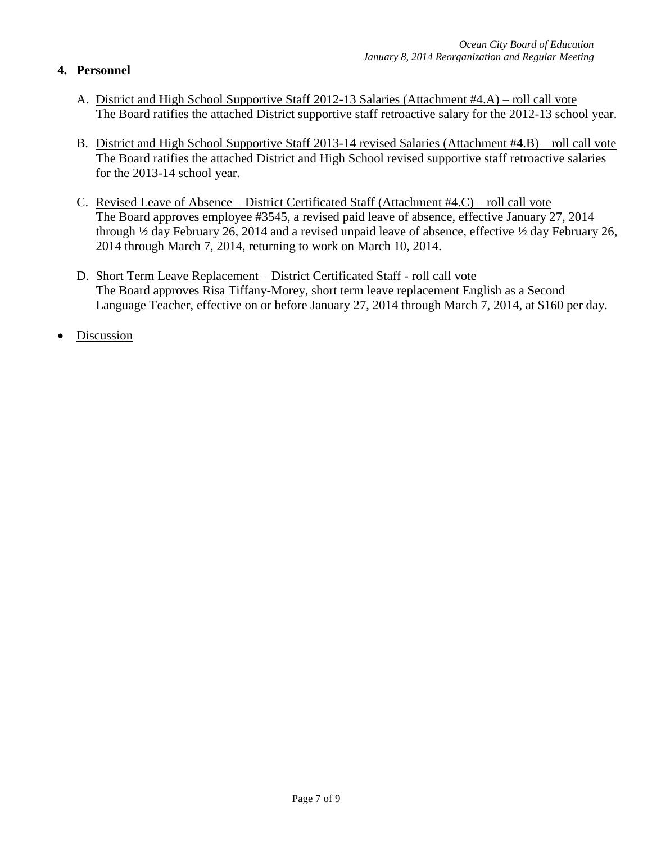# **4. Personnel**

- A. District and High School Supportive Staff 2012-13 Salaries (Attachment #4.A) roll call vote The Board ratifies the attached District supportive staff retroactive salary for the 2012-13 school year.
- B. District and High School Supportive Staff 2013-14 revised Salaries (Attachment #4.B) roll call vote The Board ratifies the attached District and High School revised supportive staff retroactive salaries for the 2013-14 school year.
- C. Revised Leave of Absence District Certificated Staff (Attachment #4.C) roll call vote The Board approves employee #3545, a revised paid leave of absence, effective January 27, 2014 through ½ day February 26, 2014 and a revised unpaid leave of absence, effective ½ day February 26, 2014 through March 7, 2014, returning to work on March 10, 2014.
- D. Short Term Leave Replacement District Certificated Staff roll call vote The Board approves Risa Tiffany-Morey, short term leave replacement English as a Second Language Teacher, effective on or before January 27, 2014 through March 7, 2014, at \$160 per day.
- Discussion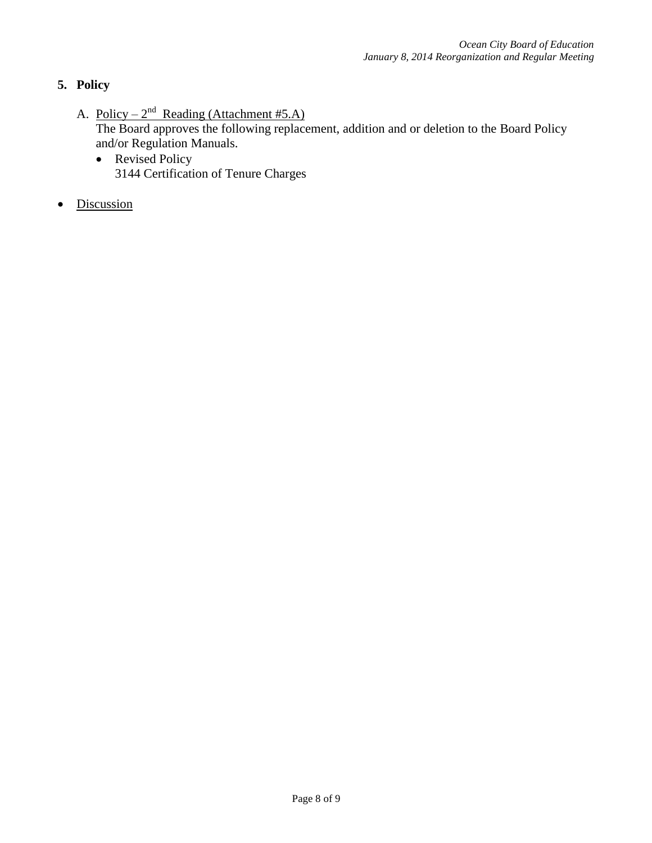# **5. Policy**

- A. Policy  $2^{nd}$  Reading (Attachment #5.A) The Board approves the following replacement, addition and or deletion to the Board Policy and/or Regulation Manuals.
	- Revised Policy 3144 Certification of Tenure Charges
- Discussion